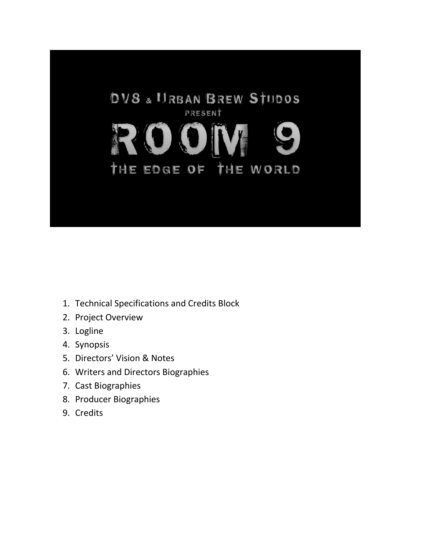

- 1. Technical Specifications and Credits Block
- 2. Project Overview
- 3. Logline
- 4. Synopsis
- 5. Directors' Vision & Notes
- 6. Writers and Directors Biographies
- 7. Cast Biographies
- 8. Producer Biographies
- 9. Credits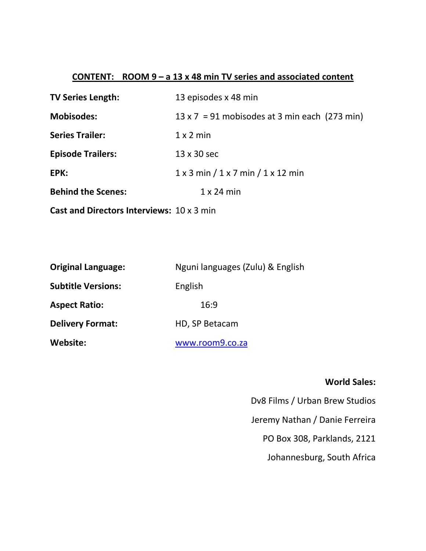## **CONTENT: ROOM 9 – a 13 x 48 min TV series and associated content**

| <b>TV Series Length:</b>                         | 13 episodes x 48 min                                  |
|--------------------------------------------------|-------------------------------------------------------|
| <b>Mobisodes:</b>                                | $13 \times 7 = 91$ mobisodes at 3 min each (273 min)  |
| <b>Series Trailer:</b>                           | $1 \times 2$ min                                      |
| <b>Episode Trailers:</b>                         | 13 x 30 sec                                           |
| EPK:                                             | $1 \times 3$ min $/1 \times 7$ min $/1 \times 12$ min |
| <b>Behind the Scenes:</b>                        | $1 \times 24$ min                                     |
| <b>Cast and Directors Interviews: 10 x 3 min</b> |                                                       |

| <b>Original Language:</b> | Nguni languages (Zulu) & English |
|---------------------------|----------------------------------|
| <b>Subtitle Versions:</b> | English                          |
| <b>Aspect Ratio:</b>      | 16:9                             |
| <b>Delivery Format:</b>   | HD, SP Betacam                   |
| Website:                  | www.room9.co.za                  |

## **World Sales:**

Dv8 Films / Urban Brew Studios

Jeremy Nathan / Danie Ferreira

PO Box 308, Parklands, 2121

Johannesburg, South Africa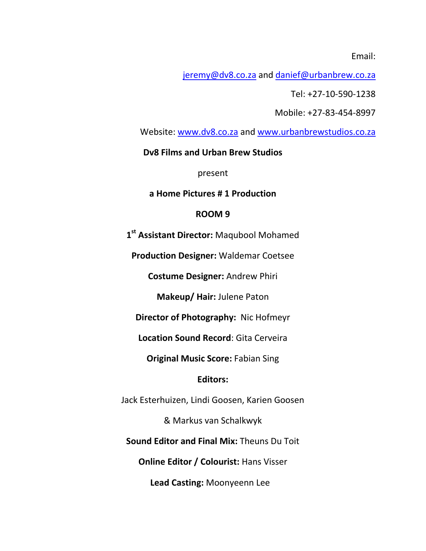Email:

[jeremy@dv8.co.za](mailto:jeremy@dv8.co.za) and [danief@urbanbrew.co.za](mailto:danief@urbanbrew.co.za)

Tel: +27-10-590-1238

Mobile: +27-83-454-8997

Website: [www.dv8.co.za](http://www.dv8.co.za/) and [www.urbanbrewstudios.co.za](http://www.urbanbrewstudios.co.za/)

**Dv8 Films and Urban Brew Studios**

present

**a Home Pictures # 1 Production**

#### **ROOM 9**

**1 st Assistant Director:** Maqubool Mohamed

**Production Designer:** Waldemar Coetsee

**Costume Designer:** Andrew Phiri

**Makeup/ Hair:** Julene Paton

**Director of Photography:** Nic Hofmeyr

**Location Sound Record**: Gita Cerveira

**Original Music Score:** Fabian Sing

### **Editors:**

Jack Esterhuizen, Lindi Goosen, Karien Goosen

& Markus van Schalkwyk

**Sound Editor and Final Mix:** Theuns Du Toit

**Online Editor / Colourist:** Hans Visser

**Lead Casting:** Moonyeenn Lee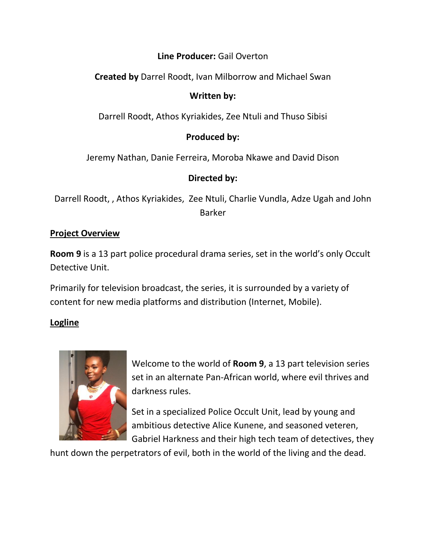# **Line Producer:** Gail Overton

**Created by** Darrel Roodt, Ivan Milborrow and Michael Swan

# **Written by:**

Darrell Roodt, Athos Kyriakides, Zee Ntuli and Thuso Sibisi

# **Produced by:**

Jeremy Nathan, Danie Ferreira, Moroba Nkawe and David Dison

# **Directed by:**

Darrell Roodt, , Athos Kyriakides, Zee Ntuli, Charlie Vundla, Adze Ugah and John Barker

# **Project Overview**

**Room 9** is a 13 part police procedural drama series, set in the world's only Occult Detective Unit.

Primarily for television broadcast, the series, it is surrounded by a variety of content for new media platforms and distribution (Internet, Mobile).

# **Logline**



Welcome to the world of **Room 9**, a 13 part television series set in an alternate Pan-African world, where evil thrives and darkness rules.

Set in a specialized Police Occult Unit, lead by young and ambitious detective Alice Kunene, and seasoned veteren, Gabriel Harkness and their high tech team of detectives, they

hunt down the perpetrators of evil, both in the world of the living and the dead.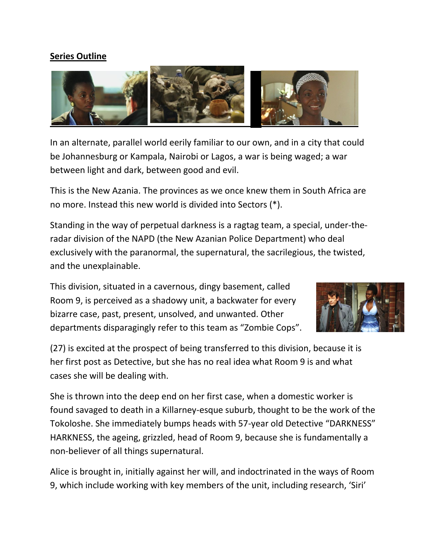## **Series Outline**



In an alternate, parallel world eerily familiar to our own, and in a city that could be Johannesburg or Kampala, Nairobi or Lagos, a war is being waged; a war between light and dark, between good and evil.

This is the New Azania. The provinces as we once knew them in South Africa are no more. Instead this new world is divided into Sectors (\*).

Standing in the way of perpetual darkness is a ragtag team, a special, under-theradar division of the NAPD (the New Azanian Police Department) who deal exclusively with the paranormal, the supernatural, the sacrilegious, the twisted, and the unexplainable.

This division, situated in a cavernous, dingy basement, called Room 9, is perceived as a shadowy unit, a backwater for every bizarre case, past, present, unsolved, and unwanted. Other departments disparagingly refer to this team as "Zombie Cops".



(27) is excited at the prospect of being transferred to this division, because it is her first post as Detective, but she has no real idea what Room 9 is and what cases she will be dealing with.

She is thrown into the deep end on her first case, when a domestic worker is found savaged to death in a Killarney-esque suburb, thought to be the work of the Tokoloshe. She immediately bumps heads with 57-year old Detective "DARKNESS" HARKNESS, the ageing, grizzled, head of Room 9, because she is fundamentally a non-believer of all things supernatural.

Alice is brought in, initially against her will, and indoctrinated in the ways of Room 9, which include working with key members of the unit, including research, 'Siri'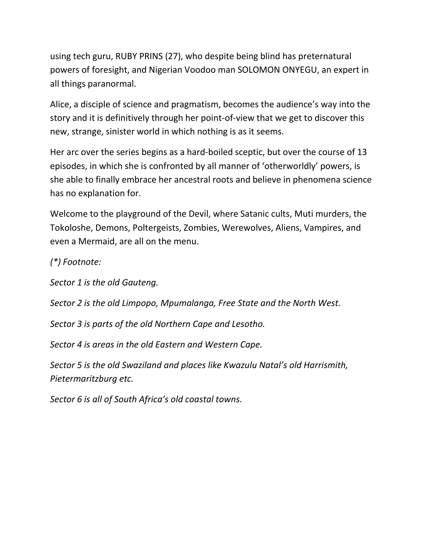using tech guru, RUBY PRINS (27), who despite being blind has preternatural powers of foresight, and Nigerian Voodoo man SOLOMON ONYEGU, an expert in all things paranormal.

Alice, a disciple of science and pragmatism, becomes the audience's way into the story and it is definitively through her point-of-view that we get to discover this new, strange, sinister world in which nothing is as it seems.

Her arc over the series begins as a hard-boiled sceptic, but over the course of 13 episodes, in which she is confronted by all manner of 'otherworldly' powers, is she able to finally embrace her ancestral roots and believe in phenomena science has no explanation for.

Welcome to the playground of the Devil, where Satanic cults, Muti murders, the Tokoloshe, Demons, Poltergeists, Zombies, Werewolves, Aliens, Vampires, and even a Mermaid, are all on the menu.

*(\*) Footnote:* 

*Sector 1 is the old Gauteng.* 

*Sector 2 is the old Limpopo, Mpumalanga, Free State and the North West.*

*Sector 3 is parts of the old Northern Cape and Lesotho.* 

*Sector 4 is areas in the old Eastern and Western Cape.* 

*Sector 5 is the old Swaziland and places like Kwazulu Natal's old Harrismith, Pietermaritzburg etc.* 

*Sector 6 is all of South Africa's old coastal towns.*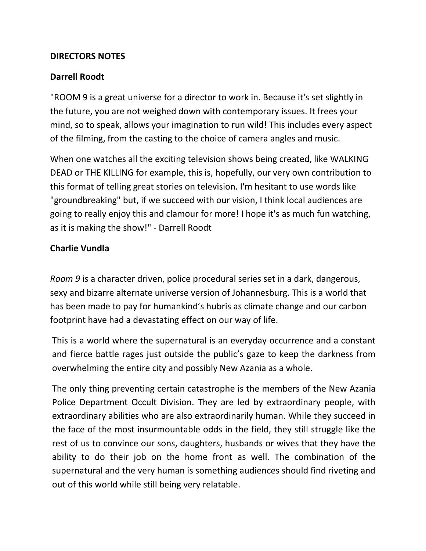## **DIRECTORS NOTES**

## **Darrell Roodt**

"ROOM 9 is a great universe for a director to work in. Because it's set slightly in the future, you are not weighed down with contemporary issues. It frees your mind, so to speak, allows your imagination to run wild! This includes every aspect of the filming, from the casting to the choice of camera angles and music.

When one watches all the exciting television shows being created, like WALKING DEAD or THE KILLING for example, this is, hopefully, our very own contribution to this format of telling great stories on television. I'm hesitant to use words like "groundbreaking" but, if we succeed with our vision, I think local audiences are going to really enjoy this and clamour for more! I hope it's as much fun watching, as it is making the show!" - Darrell Roodt

## **Charlie Vundla**

*Room 9* is a character driven, police procedural series set in a dark, dangerous, sexy and bizarre alternate universe version of Johannesburg. This is a world that has been made to pay for humankind's hubris as climate change and our carbon footprint have had a devastating effect on our way of life.

This is a world where the supernatural is an everyday occurrence and a constant and fierce battle rages just outside the public's gaze to keep the darkness from overwhelming the entire city and possibly New Azania as a whole.

The only thing preventing certain catastrophe is the members of the New Azania Police Department Occult Division. They are led by extraordinary people, with extraordinary abilities who are also extraordinarily human. While they succeed in the face of the most insurmountable odds in the field, they still struggle like the rest of us to convince our sons, daughters, husbands or wives that they have the ability to do their job on the home front as well. The combination of the supernatural and the very human is something audiences should find riveting and out of this world while still being very relatable.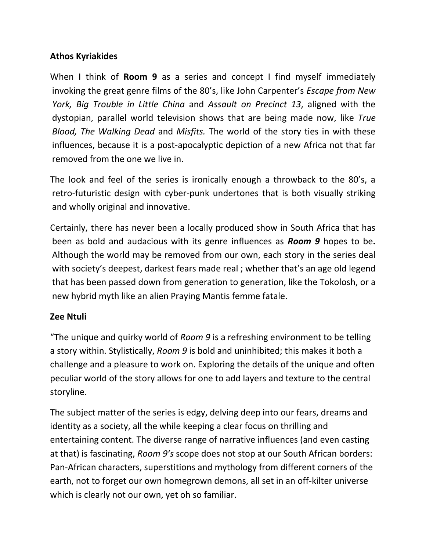# **Athos Kyriakides**

When I think of **Room 9** as a series and concept I find myself immediately invoking the great genre films of the 80's, like John Carpenter's *Escape from New York, Big Trouble in Little China* and *Assault on Precinct 13*, aligned with the dystopian, parallel world television shows that are being made now, like *True Blood, The Walking Dead* and *Misfits.* The world of the story ties in with these influences, because it is a post-apocalyptic depiction of a new Africa not that far removed from the one we live in.

The look and feel of the series is ironically enough a throwback to the 80's, a retro-futuristic design with cyber-punk undertones that is both visually striking and wholly original and innovative.

Certainly, there has never been a locally produced show in South Africa that has been as bold and audacious with its genre influences as *Room 9* hopes to be**.**  Although the world may be removed from our own, each story in the series deal with society's deepest, darkest fears made real ; whether that's an age old legend that has been passed down from generation to generation, like the Tokolosh, or a new hybrid myth like an alien Praying Mantis femme fatale.

## **Zee Ntuli**

"The unique and quirky world of *Room 9* is a refreshing environment to be telling a story within. Stylistically, *Room 9* is bold and uninhibited; this makes it both a challenge and a pleasure to work on. Exploring the details of the unique and often peculiar world of the story allows for one to add layers and texture to the central storyline.

The subject matter of the series is edgy, delving deep into our fears, dreams and identity as a society, all the while keeping a clear focus on thrilling and entertaining content. The diverse range of narrative influences (and even casting at that) is fascinating, *Room 9's* scope does not stop at our South African borders: Pan-African characters, superstitions and mythology from different corners of the earth, not to forget our own homegrown demons, all set in an off-kilter universe which is clearly not our own, yet oh so familiar.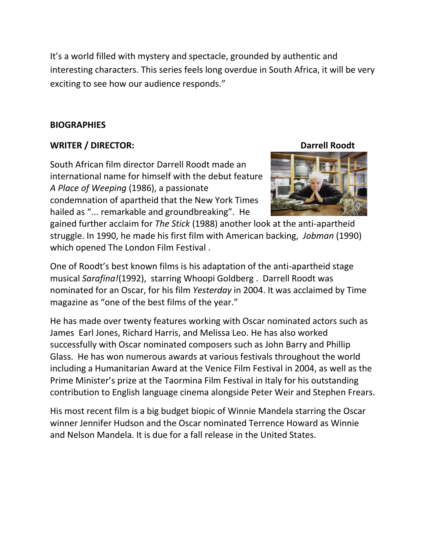It's a world filled with mystery and spectacle, grounded by authentic and interesting characters. This series feels long overdue in South Africa, it will be very exciting to see how our audience responds."

## **BIOGRAPHIES**

## **WRITER / DIRECTOR: DATE: DATE: DATE: DATE: DATE: DATE: DATE: DATE: DATE: DATE: DATE: DATE: DATE: DATE: DATE: DATE: DATE: DATE: DATE: DATE: DATE: DATE: DATE: DATE: DATE:**

South African film director Darrell Roodt made an international name for himself with the debut feature *A Place of Weeping* (1986), a passionate condemnation of apartheid that the New York Times hailed as "... remarkable and groundbreaking". He



gained further acclaim for *The Stick* (1988) another look at the anti-apartheid struggle. In 1990, he made his first film with American backing, *Jobman* (1990) which opened The London Film Festival .

One of Roodt's best known films is his adaptation of the anti-apartheid stage musical *Sarafina!*(1992), starring Whoopi Goldberg . Darrell Roodt was nominated for an Oscar, for his film *Yesterday* in 2004. It was acclaimed by Time magazine as "one of the best films of the year."

He has made over twenty features working with Oscar nominated actors such as James Earl Jones, Richard Harris, and Melissa Leo. He has also worked successfully with Oscar nominated composers such as John Barry and Phillip Glass. He has won numerous awards at various festivals throughout the world including a Humanitarian Award at the Venice Film Festival in 2004, as well as the Prime Minister's prize at the Taormina Film Festival in Italy for his outstanding contribution to English language cinema alongside Peter Weir and Stephen Frears.

His most recent film is a big budget biopic of Winnie Mandela starring the Oscar winner Jennifer Hudson and the Oscar nominated Terrence Howard as Winnie and Nelson Mandela. It is due for a fall release in the United States.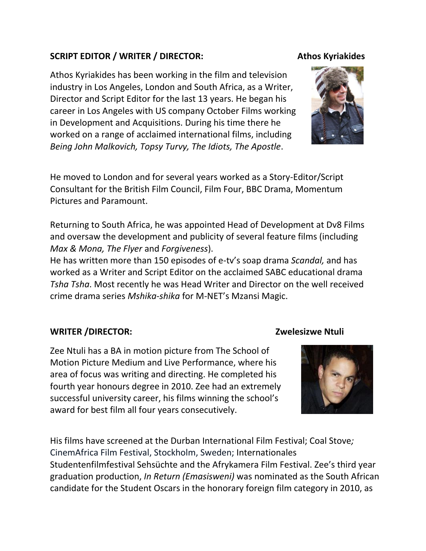# SCRIPT EDITOR / WRITER / DIRECTOR: Athos Kyriakides

Athos Kyriakides has been working in the film and television industry in Los Angeles, London and South Africa, as a Writer, Director and Script Editor for the last 13 years. He began his career in Los Angeles with US company October Films working in Development and Acquisitions. During his time there he worked on a range of acclaimed international films, including *Being John Malkovich, Topsy Turvy, The Idiots, The Apostle*.

He moved to London and for several years worked as a Story-Editor/Script Consultant for the British Film Council, Film Four, BBC Drama, Momentum Pictures and Paramount.

Returning to South Africa, he was appointed Head of Development at Dv8 Films and oversaw the development and publicity of several feature films (including *Max & Mona, The Flyer* and *Forgiveness*).

He has written more than 150 episodes of e-tv's soap drama *Scandal,* and has worked as a Writer and Script Editor on the acclaimed SABC educational drama *Tsha Tsha*. Most recently he was Head Writer and Director on the well received crime drama series *Mshika-shika* for M-NET's Mzansi Magic.

## **WRITER /DIRECTOR: Zwelesizwe Ntuli**

Zee Ntuli has a BA in motion picture from The School of Motion Picture Medium and Live Performance, where his area of focus was writing and directing. He completed his fourth year honours degree in 2010. Zee had an extremely successful university career, his films winning the school's award for best film all four years consecutively.

His films have screened at the Durban International Film Festival; Coal Stove*;*  CinemAfrica Film Festival, Stockholm, Sweden; Internationales Studentenfilmfestival Sehsüchte and the Afrykamera Film Festival. Zee's third year graduation production, *In Return (Emasisweni)* was nominated as the South African

candidate for the Student Oscars in the honorary foreign film category in 2010, as



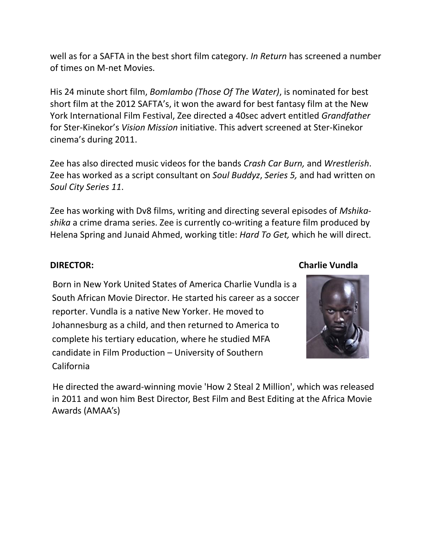well as for a SAFTA in the best short film category. *In Return* has screened a number of times on M-net Movies.

His 24 minute short film, *Bomlambo (Those Of The Water)*, is nominated for best short film at the 2012 SAFTA's, it won the award for best fantasy film at the New York International Film Festival, Zee directed a 40sec advert entitled *Grandfather*  for Ster-Kinekor's *Vision Mission* initiative. This advert screened at Ster-Kinekor cinema's during 2011.

Zee has also directed music videos for the bands *Crash Car Burn,* and *Wrestlerish*. Zee has worked as a script consultant on *Soul Buddyz*, *Series 5,* and had written on *Soul City Series 11*.

Zee has working with Dv8 films, writing and directing several episodes of *Mshikashika* a crime drama series. Zee is currently co-writing a feature film produced by Helena Spring and Junaid Ahmed, working title: *Hard To Get,* which he will direct.

## **DIRECTOR: Charlie Vundla**

 Born in New York United States of America Charlie Vundla is a South African Movie Director. He started his career as a soccer reporter. Vundla is a native New Yorker. He moved to Johannesburg as a child, and then returned to America to complete his tertiary education, where he studied MFA candidate in Film Production – University of Southern California



 He directed the award-winning movie 'How 2 Steal 2 Million', which was released in 2011 and won him Best Director, Best Film and Best Editing at the Africa Movie Awards (AMAA's)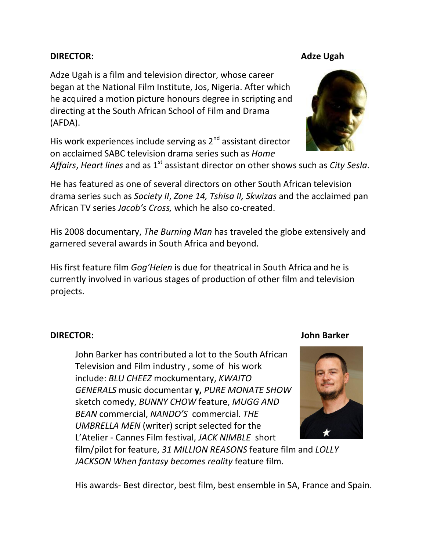## **DIRECTOR:** Adze Ugah

Adze Ugah is a film and television director, whose career began at the National Film Institute, Jos, Nigeria. After which he acquired a motion picture honours degree in scripting and directing at the South African School of Film and Drama (AFDA).

His work experiences include serving as 2<sup>nd</sup> assistant director on acclaimed SABC television drama series such as *Home* 

Affairs, *Heart lines* and as 1<sup>st</sup> assistant director on other shows such as *City Sesla*.

He has featured as one of several directors on other South African television drama series such as *Society II*, *Zone 14, Tshisa II, Skwizas* and the acclaimed pan African TV series *Jacob's Cross,* which he also co-created.

His 2008 documentary, *The Burning Man* has traveled the globe extensively and garnered several awards in South Africa and beyond.

His first feature film *Gog'Helen* is due for theatrical in South Africa and he is currently involved in various stages of production of other film and television projects.

## **DIRECTOR: John Barker**

John Barker has contributed a lot to the South African Television and Film industry , some of his work include: *BLU CHEEZ* mockumentary, *KWAITO GENERALS* music documentar **y,** *PURE MONATE SHOW* sketch comedy, *BUNNY CHOW* feature, *MUGG AND BEAN* commercial, *NANDO'S* commercial. *THE UMBRELLA MEN* (writer) script selected for the L'Atelier - Cannes Film festival, *JACK NIMBLE* short

His awards- Best director, best film, best ensemble in SA, France and Spain.

film/pilot for feature, *31 MILLION REASONS* feature film and *LOLLY JACKSON When fantasy becomes reality* feature film.





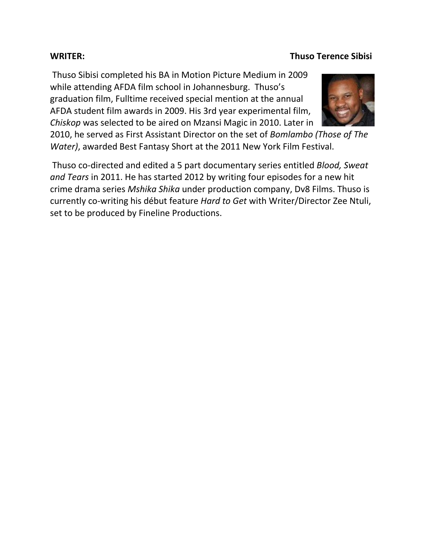# Thuso Sibisi completed his BA in Motion Picture Medium in 2009 while attending AFDA film school in Johannesburg. Thuso's graduation film, Fulltime received special mention at the annual AFDA student film awards in 2009. His 3rd year experimental film, *Chiskop* was selected to be aired on Mzansi Magic in 2010. Later in

**WRITER: Thuso Terence Sibisi** 

2010, he served as First Assistant Director on the set of *Bomlambo (Those of The Water)*, awarded Best Fantasy Short at the 2011 New York Film Festival.

Thuso co-directed and edited a 5 part documentary series entitled *Blood, Sweat and Tears* in 2011. He has started 2012 by writing four episodes for a new hit crime drama series *Mshika Shika* under production company, Dv8 Films. Thuso is currently co-writing his début feature *Hard to Get* with Writer/Director Zee Ntuli, set to be produced by Fineline Productions.

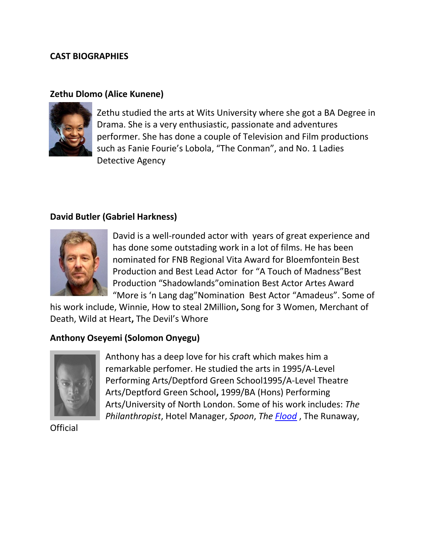## **CAST BIOGRAPHIES**

## **Zethu Dlomo (Alice Kunene)**



Zethu studied the arts at Wits University where she got a BA Degree in Drama. She is a very enthusiastic, passionate and adventures performer. She has done a couple of Television and Film productions such as Fanie Fourie's Lobola, "The Conman", and No. 1 Ladies Detective Agency

## **David Butler (Gabriel Harkness)**



David is a well-rounded actor with years of great experience and has done some outstading work in a lot of films. He has been nominated for FNB Regional Vita Award for Bloemfontein Best Production and Best Lead Actor for "A Touch of Madness"Best Production "Shadowlands"omination Best Actor Artes Award "More is 'n Lang dag"Nomination Best Actor "Amadeus". Some of

his work include, Winnie, How to steal 2Million**,** Song for 3 Women, Merchant of Death, Wild at Heart**,** The Devil's Whore

## **Anthony Oseyemi (Solomon Onyegu)**



Anthony has a deep love for his craft which makes him a remarkable perfomer. He studied the arts in 1995/A-Level Performing Arts/Deptford Green School1995/A-Level Theatre Arts/Deptford Green School**,** 1999/BA (Hons) Performing Arts/University of North London. Some of his work includes: *The Philanthropist*, Hotel Manager, *Spoon*, *The [Flood](http://www.imdb.com/title/tt0790665/)* , The Runaway,

Official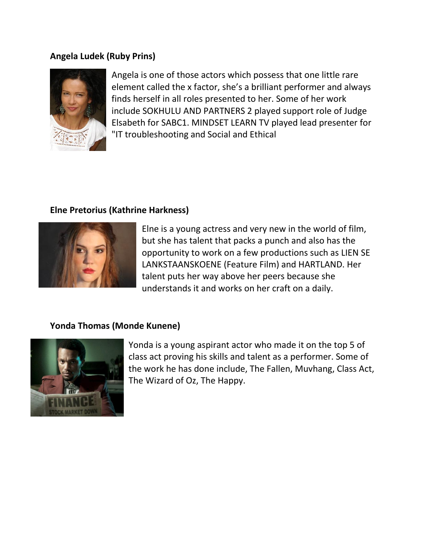## **Angela Ludek (Ruby Prins)**



Angela is one of those actors which possess that one little rare element called the x factor, she's a brilliant performer and always finds herself in all roles presented to her. Some of her work include SOKHULU AND PARTNERS 2 played support role of Judge Elsabeth for SABC1. MINDSET LEARN TV played lead presenter for "IT troubleshooting and Social and Ethical

# **Elne Pretorius (Kathrine Harkness)**



Elne is a young actress and very new in the world of film, but she has talent that packs a punch and also has the opportunity to work on a few productions such as LIEN SE LANKSTAANSKOENE (Feature Film) and HARTLAND. Her talent puts her way above her peers because she understands it and works on her craft on a daily.

# **Yonda Thomas (Monde Kunene)**



Yonda is a young aspirant actor who made it on the top 5 of class act proving his skills and talent as a performer. Some of the work he has done include, The Fallen, Muvhang, Class Act, The Wizard of Oz, The Happy.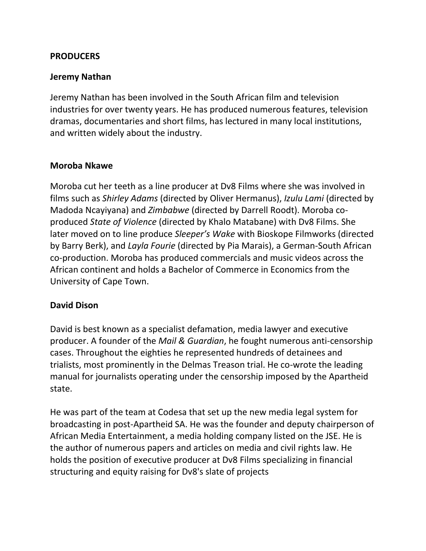## **PRODUCERS**

## **Jeremy Nathan**

Jeremy Nathan has been involved in the South African film and television industries for over twenty years. He has produced numerous features, television dramas, documentaries and short films, has lectured in many local institutions, and written widely about the industry.

## **Moroba Nkawe**

Moroba cut her teeth as a line producer at Dv8 Films where she was involved in films such as *Shirley Adams* (directed by Oliver Hermanus), *Izulu Lami* (directed by Madoda Ncayiyana) and *Zimbabwe* (directed by Darrell Roodt). Moroba coproduced *State of Violence* (directed by Khalo Matabane) with Dv8 Films. She later moved on to line produce *Sleeper's Wake* with Bioskope Filmworks (directed by Barry Berk), and *Layla Fourie* (directed by Pia Marais), a German-South African co-production. Moroba has produced commercials and music videos across the African continent and holds a Bachelor of Commerce in Economics from the University of Cape Town.

## **David Dison**

David is best known as a specialist defamation, media lawyer and executive producer. A founder of the *Mail & Guardian*, he fought numerous anti-censorship cases. Throughout the eighties he represented hundreds of detainees and trialists, most prominently in the Delmas Treason trial. He co-wrote the leading manual for journalists operating under the censorship imposed by the Apartheid state.

He was part of the team at Codesa that set up the new media legal system for broadcasting in post-Apartheid SA. He was the founder and deputy chairperson of African Media Entertainment, a media holding company listed on the JSE. He is the author of numerous papers and articles on media and civil rights law. He holds the position of executive producer at Dv8 Films specializing in financial structuring and equity raising for Dv8's slate of projects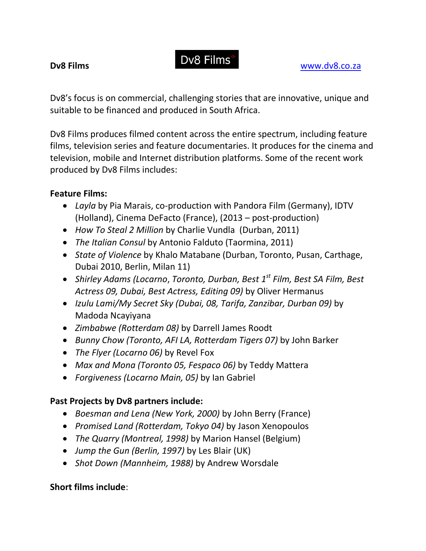Dv8's focus is on commercial, challenging stories that are innovative, unique and suitable to be financed and produced in South Africa.

Dv8 Films produces filmed content across the entire spectrum, including feature films, television series and feature documentaries. It produces for the cinema and television, mobile and Internet distribution platforms. Some of the recent work produced by Dv8 Films includes:

# **Feature Films:**

- *Layla* by Pia Marais, co-production with Pandora Film (Germany), IDTV (Holland), Cinema DeFacto (France), (2013 – post-production)
- *How To Steal 2 Million* by Charlie Vundla (Durban, 2011)
- *The Italian Consul* by Antonio Falduto (Taormina, 2011)
- *State of Violence* by Khalo Matabane (Durban, Toronto, Pusan, Carthage, Dubai 2010, Berlin, Milan 11)
- *Shirley Adams (Locarno*, *Toronto, Durban, Best 1st Film, Best SA Film, Best Actress 09, Dubai, Best Actress, Editing 09)* by Oliver Hermanus
- *Izulu Lami/My Secret Sky (Dubai, 08, Tarifa, Zanzibar, Durban 09)* by Madoda Ncayiyana
- *Zimbabwe (Rotterdam 08)* by Darrell James Roodt
- *Bunny Chow (Toronto, AFI LA, Rotterdam Tigers 07)* by John Barker
- *The Flyer (Locarno 06)* by Revel Fox
- *Max and Mona (Toronto 05, Fespaco 06)* by Teddy Mattera
- *Forgiveness (Locarno Main, 05)* by Ian Gabriel

# **Past Projects by Dv8 partners include:**

- *Boesman and Lena (New York, 2000)* by John Berry (France)
- *Promised Land (Rotterdam, Tokyo 04)* by Jason Xenopoulos
- *The Quarry (Montreal, 1998)* by Marion Hansel (Belgium)
- *Jump the Gun (Berlin, 1997)* by Les Blair (UK)
- *Shot Down (Mannheim, 1988)* by Andrew Worsdale

# **Short films include**: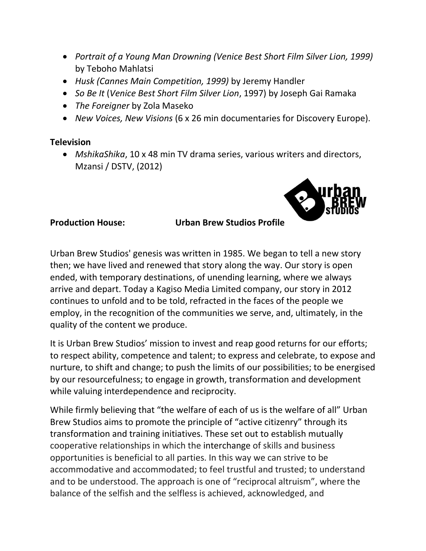- *Portrait of a Young Man Drowning (Venice Best Short Film Silver Lion, 1999)*  by Teboho Mahlatsi
- *Husk (Cannes Main Competition, 1999)* by Jeremy Handler
- *So Be It* (*Venice Best Short Film Silver Lion*, 1997) by Joseph Gai Ramaka
- *The Foreigner* by Zola Maseko
- *New Voices, New Visions* (6 x 26 min documentaries for Discovery Europe).

## **Television**

 *MshikaShika*, 10 x 48 min TV drama series, various writers and directors, Mzansi / DSTV, (2012)



## **Production House: Urban Brew Studios Profile**

Urban Brew Studios' genesis was written in 1985. We began to tell a new story then; we have lived and renewed that story along the way. Our story is open ended, with temporary destinations, of unending learning, where we always arrive and depart. Today a Kagiso Media Limited company, our story in 2012 continues to unfold and to be told, refracted in the faces of the people we employ, in the recognition of the communities we serve, and, ultimately, in the quality of the content we produce.

It is Urban Brew Studios' mission to invest and reap good returns for our efforts; to respect ability, competence and talent; to express and celebrate, to expose and nurture, to shift and change; to push the limits of our possibilities; to be energised by our resourcefulness; to engage in growth, transformation and development while valuing interdependence and reciprocity.

While firmly believing that "the welfare of each of us is the welfare of all" Urban Brew Studios aims to promote the principle of "active citizenry" through its transformation and training initiatives. These set out to establish mutually cooperative relationships in which the interchange of skills and business opportunities is beneficial to all parties. In this way we can strive to be accommodative and accommodated; to feel trustful and trusted; to understand and to be understood. The approach is one of "reciprocal altruism", where the balance of the selfish and the selfless is achieved, acknowledged, and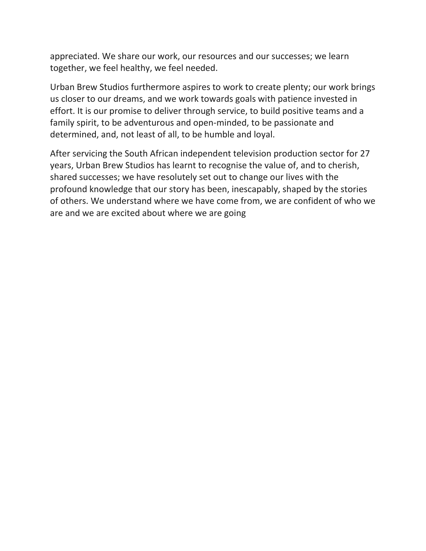appreciated. We share our work, our resources and our successes; we learn together, we feel healthy, we feel needed.

Urban Brew Studios furthermore aspires to work to create plenty; our work brings us closer to our dreams, and we work towards goals with patience invested in effort. It is our promise to deliver through service, to build positive teams and a family spirit, to be adventurous and open-minded, to be passionate and determined, and, not least of all, to be humble and loyal.

After servicing the South African independent television production sector for 27 years, Urban Brew Studios has learnt to recognise the value of, and to cherish, shared successes; we have resolutely set out to change our lives with the profound knowledge that our story has been, inescapably, shaped by the stories of others. We understand where we have come from, we are confident of who we are and we are excited about where we are going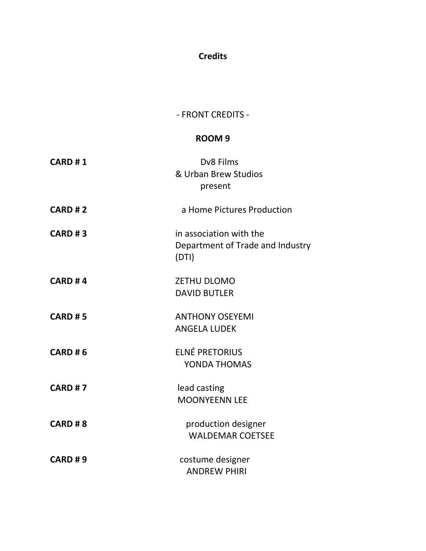# **Credits**

## - FRONT CREDITS -

## **ROOM 9**

| <b>CARD #1</b> | Dv8 Films<br>& Urban Brew Studios<br>present                         |
|----------------|----------------------------------------------------------------------|
| <b>CARD #2</b> | a Home Pictures Production                                           |
| <b>CARD #3</b> | in association with the<br>Department of Trade and Industry<br>(DTI) |
| <b>CARD #4</b> | <b>ZETHU DLOMO</b><br><b>DAVID BUTLER</b>                            |
| <b>CARD #5</b> | <b>ANTHONY OSEYEMI</b><br><b>ANGELA LUDEK</b>                        |
| <b>CARD #6</b> | <b>ELNÉ PRETORIUS</b><br>YONDA THOMAS                                |
| <b>CARD #7</b> | lead casting<br><b>MOONYEENN LEE</b>                                 |
| <b>CARD #8</b> | production designer<br><b>WALDEMAR COETSEE</b>                       |
| <b>CARD #9</b> | costume designer<br><b>ANDREW PHIRI</b>                              |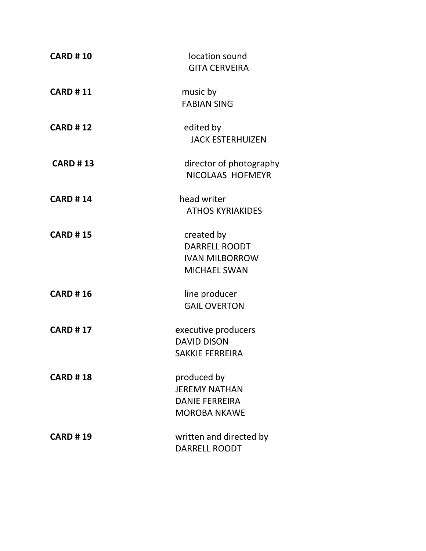| <b>CARD #10</b> | location sound<br><b>GITA CERVEIRA</b>                                              |
|-----------------|-------------------------------------------------------------------------------------|
| <b>CARD #11</b> | music by<br><b>FABIAN SING</b>                                                      |
| <b>CARD #12</b> | edited by<br><b>JACK ESTERHUIZEN</b>                                                |
| <b>CARD #13</b> | director of photography<br>NICOLAAS HOFMEYR                                         |
| <b>CARD #14</b> | head writer<br><b>ATHOS KYRIAKIDES</b>                                              |
| <b>CARD #15</b> | created by<br><b>DARRELL ROODT</b><br><b>IVAN MILBORROW</b><br><b>MICHAEL SWAN</b>  |
| <b>CARD #16</b> | line producer<br><b>GAIL OVERTON</b>                                                |
| <b>CARD #17</b> | executive producers<br><b>DAVID DISON</b><br><b>SAKKIE FERREIRA</b>                 |
| <b>CARD #18</b> | produced by<br><b>JEREMY NATHAN</b><br><b>DANIE FERREIRA</b><br><b>MOROBA NKAWE</b> |
| <b>CARD #19</b> | written and directed by<br><b>DARRELL ROODT</b>                                     |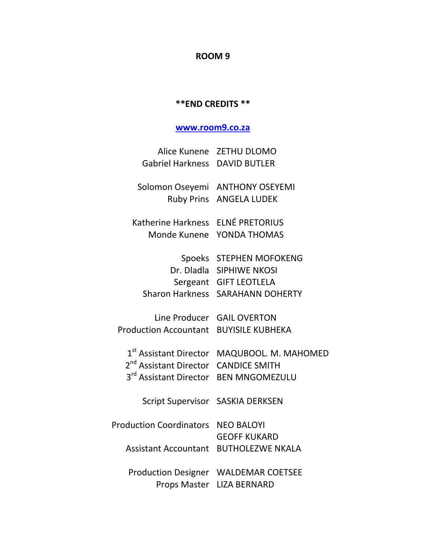#### **ROOM 9**

#### **\*\*END CREDITS \*\***

#### **[www.room9.co.za](http://www.room9.co.za/)**

|                               | Alice Kunene ZETHU DLOMO |
|-------------------------------|--------------------------|
| Gabriel Harkness DAVID BUTLER |                          |

Solomon Oseyemi ANTHONY OSEYEMI Ruby Prins ANGELA LUDEK

Katherine Harkness ELNÉ PRETORIUS Monde Kunene YONDA THOMAS

| Spoeks STEPHEN MOFOKENG          |
|----------------------------------|
| Dr. Dladla SIPHIWE NKOSI         |
| Sergeant GIFT LEOTLELA           |
| Sharon Harkness SARAHANN DOHERTY |
|                                  |

Line Producer GAIL OVERTON Production Accountant BUYISILE KUBHEKA

|                                                  | 1 <sup>st</sup> Assistant Director MAQUBOOL. M. MAHOMED |
|--------------------------------------------------|---------------------------------------------------------|
| 2 <sup>nd</sup> Assistant Director CANDICE SMITH |                                                         |
| 3rd Assistant Director BEN MNGOMEZULU            |                                                         |

Script Supervisor SASKIA DERKSEN

Production Coordinators NEO BALOYI GEOFF KUKARD Assistant Accountant BUTHOLEZWE NKALA

Production Designer WALDEMAR COETSEE Props Master LIZA BERNARD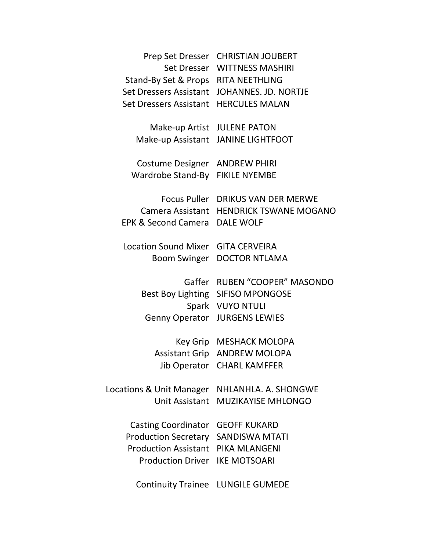| Prep Set Dresser                                 | <b>CHRISTIAN JOUBERT</b>                                                                                        |
|--------------------------------------------------|-----------------------------------------------------------------------------------------------------------------|
| Stand-By Set & Props RITA NEETHLING              | Set Dresser WITTNESS MASHIRI                                                                                    |
| Set Dressers Assistant                           | JOHANNES. JD. NORTJE                                                                                            |
| Set Dressers Assistant                           | <b>HERCULES MALAN</b>                                                                                           |
| Make-up Artist JULENE PATON<br>Make-up Assistant | <b>JANINE LIGHTFOOT</b>                                                                                         |
| Costume Designer                                 | <b>ANDREW PHIRI</b>                                                                                             |
| Wardrobe Stand-By                                | <b>FIKILE NYEMBE</b>                                                                                            |
| EPK & Second Camera                              | Focus Puller DRIKUS VAN DER MERWE<br>Camera Assistant HENDRICK TSWANE MOGANO<br><b>DALE WOLF</b>                |
| <b>Location Sound Mixer</b>                      | <b>GITA CERVEIRA</b>                                                                                            |
| <b>Boom Swinger</b>                              | <b>DOCTOR NTLAMA</b>                                                                                            |
| Gaffer<br><b>Genny Operator</b>                  | <b>RUBEN "COOPER" MASONDO</b><br>Best Boy Lighting SIFISO MPONGOSE<br>Spark VUYO NTULI<br><b>JURGENS LEWIES</b> |
| <b>Assistant Grip</b>                            | Key Grip MESHACK MOLOPA<br><b>ANDREW MOLOPA</b><br>Jib Operator CHARL KAMFFER                                   |
| Locations & Unit Manager                         | NHLANHLA, A. SHONGWE                                                                                            |
| <b>Unit Assistant</b>                            | <b>MUZIKAYISE MHLONGO</b>                                                                                       |
| <b>Casting Coordinator</b>                       | <b>GEOFF KUKARD</b>                                                                                             |
| <b>Production Secretary</b>                      | <b>SANDISWA MTATI</b>                                                                                           |
| <b>Production Assistant</b>                      | <b>PIKA MLANGENI</b>                                                                                            |
| <b>Production Driver</b>                         | <b>IKE MOTSOARI</b>                                                                                             |
| <b>Continuity Trainee</b>                        | LUNGILE GUMEDE                                                                                                  |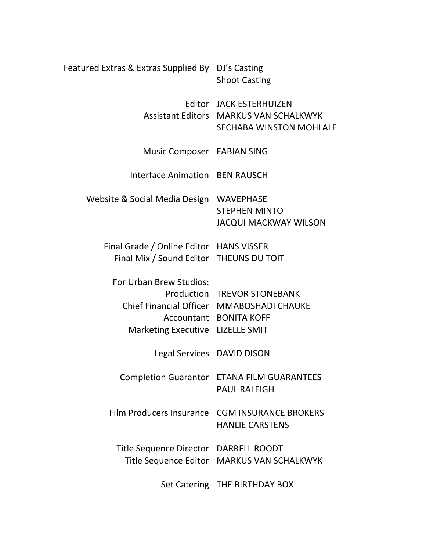| Featured Extras & Extras Supplied By DJ's Casting                                  | <b>Shoot Casting</b>                                                                                       |
|------------------------------------------------------------------------------------|------------------------------------------------------------------------------------------------------------|
|                                                                                    | Editor JACK ESTERHUIZEN<br><b>Assistant Editors MARKUS VAN SCHALKWYK</b><br><b>SECHABA WINSTON MOHLALE</b> |
| Music Composer FABIAN SING                                                         |                                                                                                            |
| Interface Animation BEN RAUSCH                                                     |                                                                                                            |
| Website & Social Media Design WAVEPHASE                                            | <b>STEPHEN MINTO</b><br><b>JACQUI MACKWAY WILSON</b>                                                       |
| Final Grade / Online Editor HANS VISSER<br>Final Mix / Sound Editor THEUNS DU TOIT |                                                                                                            |
| For Urban Brew Studios:<br>Marketing Executive LIZELLE SMIT                        | Production TREVOR STONEBANK<br>Chief Financial Officer MMABOSHADI CHAUKE<br>Accountant BONITA KOFF         |
| Legal Services DAVID DISON                                                         |                                                                                                            |
|                                                                                    | <b>Completion Guarantor ETANA FILM GUARANTEES</b><br><b>PAUL RALEIGH</b>                                   |
|                                                                                    | Film Producers Insurance CGM INSURANCE BROKERS<br><b>HANLIE CARSTENS</b>                                   |
| Title Sequence Director DARRELL ROODT                                              | Title Sequence Editor MARKUS VAN SCHALKWYK                                                                 |
|                                                                                    | Set Catering THE BIRTHDAY BOX                                                                              |